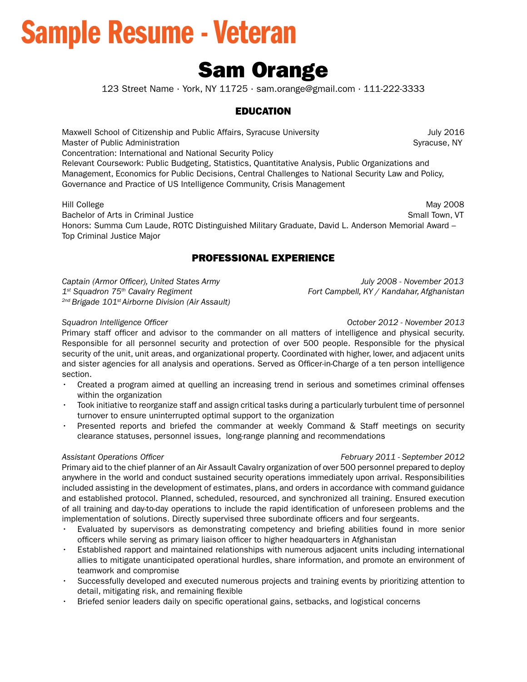# Sample Resume - Veteran

## Sam Orange

123 Street Name ∙ York, NY 11725 ∙ sam.orange@gmail.com ∙ 111-222-3333

### EDUCATION

Maxwell School of Citizenship and Public Affairs, Syracuse University **July 2016** July 2016 Master of Public Administration Syracuse, NY

Concentration: International and National Security Policy

Relevant Coursework: Public Budgeting, Statistics, Quantitative Analysis, Public Organizations and Management, Economics for Public Decisions, Central Challenges to National Security Law and Policy, Governance and Practice of US Intelligence Community, Crisis Management

Hill College Bachelor of Arts in Criminal Justice Small Town, VT Small Town, VT Small Town, VT Hill College May 2008 Honors: Summa Cum Laude, ROTC Distinguished Military Graduate, David L. Anderson Memorial Award – Top Criminal Justice Major

### PROFESSIONAL EXPERIENCE

*Captain (Armor Offcer), United States Army July 2008 - November 2013 1st Squadron 75th Cavalry Regiment Fort Campbell, KY / Kandahar, Afghanistan 2nd Brigade 101st Airborne Division (Air Assault)* 

*Squadron Intelligence Offcer October 2012 - November 2013* 

Primary staff officer and advisor to the commander on all matters of intelligence and physical security. Responsible for all personnel security and protection of over 500 people. Responsible for the physical security of the unit, unit areas, and organizational property. Coordinated with higher, lower, and adjacent units and sister agencies for all analysis and operations. Served as Officer-in-Charge of a ten person intelligence section.

- Created a program aimed at quelling an increasing trend in serious and sometimes criminal offenses within the organization
- Took initiative to reorganize staff and assign critical tasks during a particularly turbulent time of personnel turnover to ensure uninterrupted optimal support to the organization
- Presented reports and briefed the commander at weekly Command & Staff meetings on security clearance statuses, personnel issues, long-range planning and recommendations

### *Assistant Operations Offcer February 2011 - September 2012*

 and established protocol. Planned, scheduled, resourced, and synchronized all training. Ensured execution Primary aid to the chief planner of an Air Assault Cavalry organization of over 500 personnel prepared to deploy anywhere in the world and conduct sustained security operations immediately upon arrival. Responsibilities included assisting in the development of estimates, plans, and orders in accordance with command guidance of all training and day-to-day operations to include the rapid identifcation of unforeseen problems and the implementation of solutions. Directly supervised three subordinate officers and four sergeants.

- Evaluated by supervisors as demonstrating competency and briefng abilities found in more senior officers while serving as primary liaison officer to higher headquarters in Afghanistan
- Established rapport and maintained relationships with numerous adjacent units including international allies to mitigate unanticipated operational hurdles, share information, and promote an environment of teamwork and compromise
- Successfully developed and executed numerous projects and training events by prioritizing attention to detail, mitigating risk, and remaining flexible
- Briefed senior leaders daily on specifc operational gains, setbacks, and logistical concerns